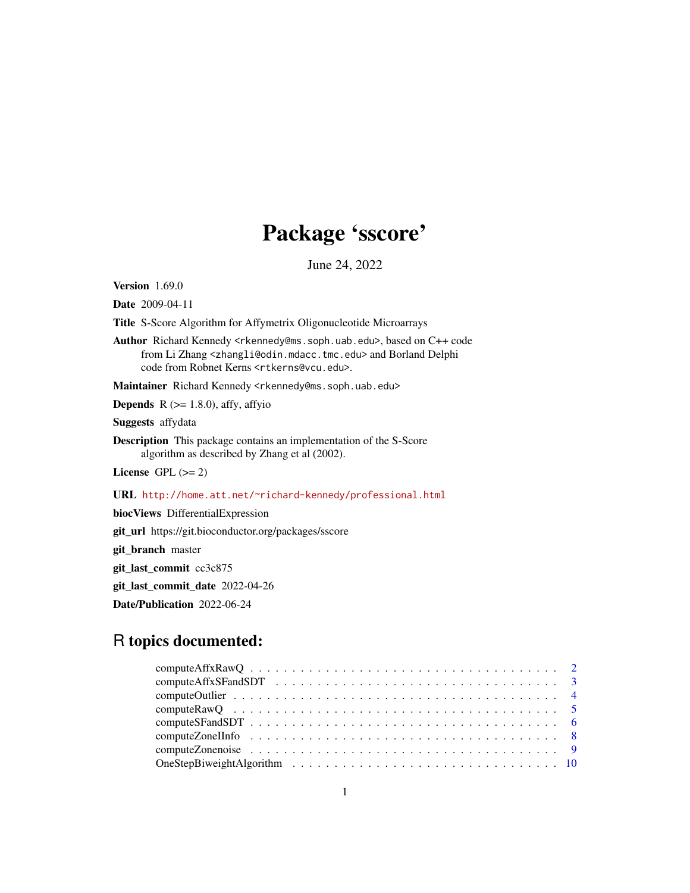## Package 'sscore'

June 24, 2022

Version 1.69.0

Date 2009-04-11

Title S-Score Algorithm for Affymetrix Oligonucleotide Microarrays

Author Richard Kennedy <rkennedy@ms.soph.uab.edu>, based on C++ code from Li Zhang <zhangli@odin.mdacc.tmc.edu> and Borland Delphi code from Robnet Kerns <rtkerns@vcu.edu>.

Maintainer Richard Kennedy <rkennedy@ms.soph.uab.edu>

**Depends** R  $(>= 1.8.0)$ , affy, affyio

Suggests affydata

Description This package contains an implementation of the S-Score algorithm as described by Zhang et al (2002).

License GPL  $(>= 2)$ 

URL <http://home.att.net/~richard-kennedy/professional.html>

biocViews DifferentialExpression

git\_url https://git.bioconductor.org/packages/sscore

git\_branch master

git\_last\_commit cc3c875

git\_last\_commit\_date 2022-04-26

Date/Publication 2022-06-24

## R topics documented: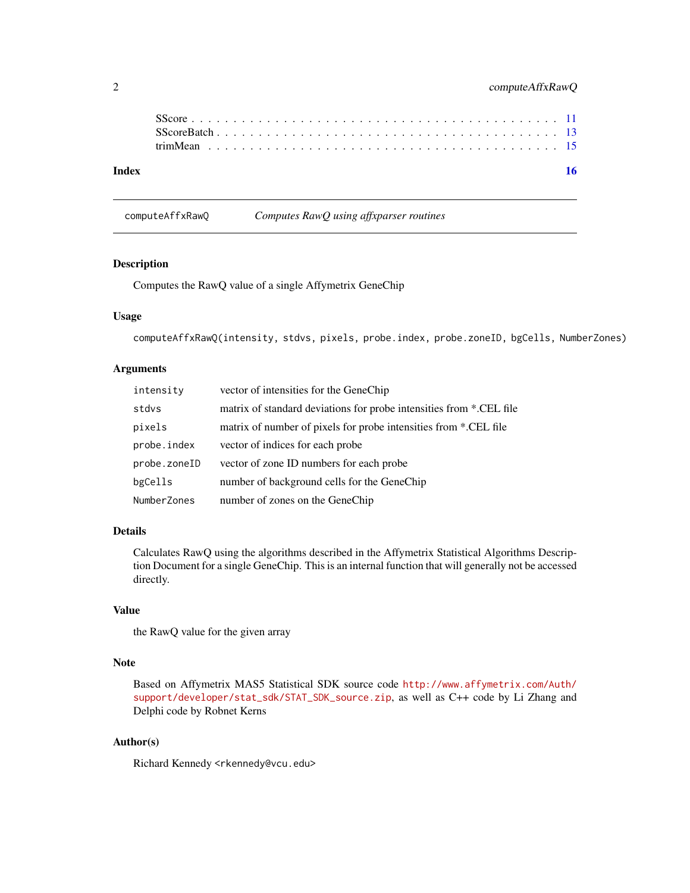<span id="page-1-0"></span>

| Index |  |  |  |  |  |  |  |  |  |  |  |  |  |  |  |  |  |  |  |  | 16 |
|-------|--|--|--|--|--|--|--|--|--|--|--|--|--|--|--|--|--|--|--|--|----|
|       |  |  |  |  |  |  |  |  |  |  |  |  |  |  |  |  |  |  |  |  |    |
|       |  |  |  |  |  |  |  |  |  |  |  |  |  |  |  |  |  |  |  |  |    |

## computeAffxRawQ *Computes RawQ using affxparser routines*

#### Description

Computes the RawQ value of a single Affymetrix GeneChip

## Usage

computeAffxRawQ(intensity, stdvs, pixels, probe.index, probe.zoneID, bgCells, NumberZones)

#### Arguments

| intensity    | vector of intensities for the GeneChip                              |
|--------------|---------------------------------------------------------------------|
| stdvs        | matrix of standard deviations for probe intensities from *.CEL file |
| pixels       | matrix of number of pixels for probe intensities from *.CEL file    |
| probe.index  | vector of indices for each probe                                    |
| probe.zoneID | vector of zone ID numbers for each probe                            |
| bgCells      | number of background cells for the GeneChip                         |
| NumberZones  | number of zones on the GeneChip                                     |

## Details

Calculates RawQ using the algorithms described in the Affymetrix Statistical Algorithms Description Document for a single GeneChip. This is an internal function that will generally not be accessed directly.

#### Value

the RawQ value for the given array

## Note

Based on Affymetrix MAS5 Statistical SDK source code [http://www.affymetrix.com/Auth/](http://www.affymetrix.com/Auth/support/developer/stat_sdk/STAT_SDK_source.zip) [support/developer/stat\\_sdk/STAT\\_SDK\\_source.zip](http://www.affymetrix.com/Auth/support/developer/stat_sdk/STAT_SDK_source.zip), as well as C++ code by Li Zhang and Delphi code by Robnet Kerns

## Author(s)

Richard Kennedy <rkennedy@vcu.edu>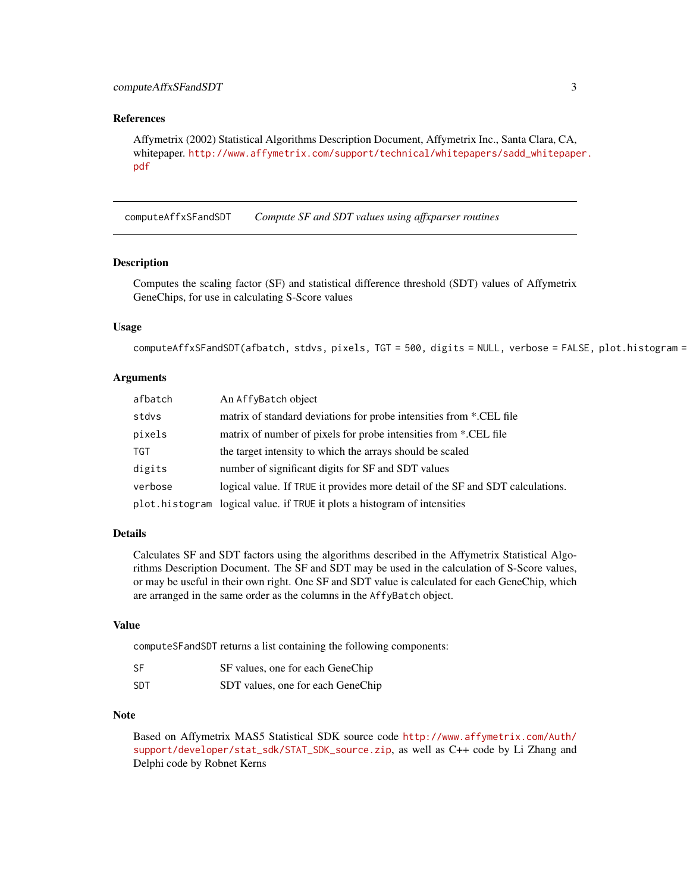#### <span id="page-2-0"></span>References

Affymetrix (2002) Statistical Algorithms Description Document, Affymetrix Inc., Santa Clara, CA, whitepaper. [http://www.affymetrix.com/support/technical/whitepapers/sadd\\_whitepape](http://www.affymetrix.com/support/technical/whitepapers/sadd_whitepaper.pdf)r. [pdf](http://www.affymetrix.com/support/technical/whitepapers/sadd_whitepaper.pdf)

computeAffxSFandSDT *Compute SF and SDT values using affxparser routines*

#### Description

Computes the scaling factor (SF) and statistical difference threshold (SDT) values of Affymetrix GeneChips, for use in calculating S-Score values

## Usage

```
computeAffxSFandSDT(afbatch, stdvs, pixels, TGT = 500, digits = NULL, verbose = FALSE, plot.histogram =
```
#### Arguments

| afbatch | An AffyBatch object                                                            |
|---------|--------------------------------------------------------------------------------|
| stdvs   | matrix of standard deviations for probe intensities from *.CEL file            |
| pixels  | matrix of number of pixels for probe intensities from *.CEL file               |
| TGT     | the target intensity to which the arrays should be scaled                      |
| digits  | number of significant digits for SF and SDT values                             |
| verbose | logical value. If TRUE it provides more detail of the SF and SDT calculations. |
|         | plot. histogram logical value. if TRUE it plots a histogram of intensities     |

## Details

Calculates SF and SDT factors using the algorithms described in the Affymetrix Statistical Algorithms Description Document. The SF and SDT may be used in the calculation of S-Score values, or may be useful in their own right. One SF and SDT value is calculated for each GeneChip, which are arranged in the same order as the columns in the AffyBatch object.

#### Value

computeSFandSDT returns a list containing the following components:

| SF  | SF values, one for each GeneChip  |
|-----|-----------------------------------|
| SDT | SDT values, one for each GeneChip |

#### **Note**

Based on Affymetrix MAS5 Statistical SDK source code [http://www.affymetrix.com/Auth/](http://www.affymetrix.com/Auth/support/developer/stat_sdk/STAT_SDK_source.zip) [support/developer/stat\\_sdk/STAT\\_SDK\\_source.zip](http://www.affymetrix.com/Auth/support/developer/stat_sdk/STAT_SDK_source.zip), as well as C++ code by Li Zhang and Delphi code by Robnet Kerns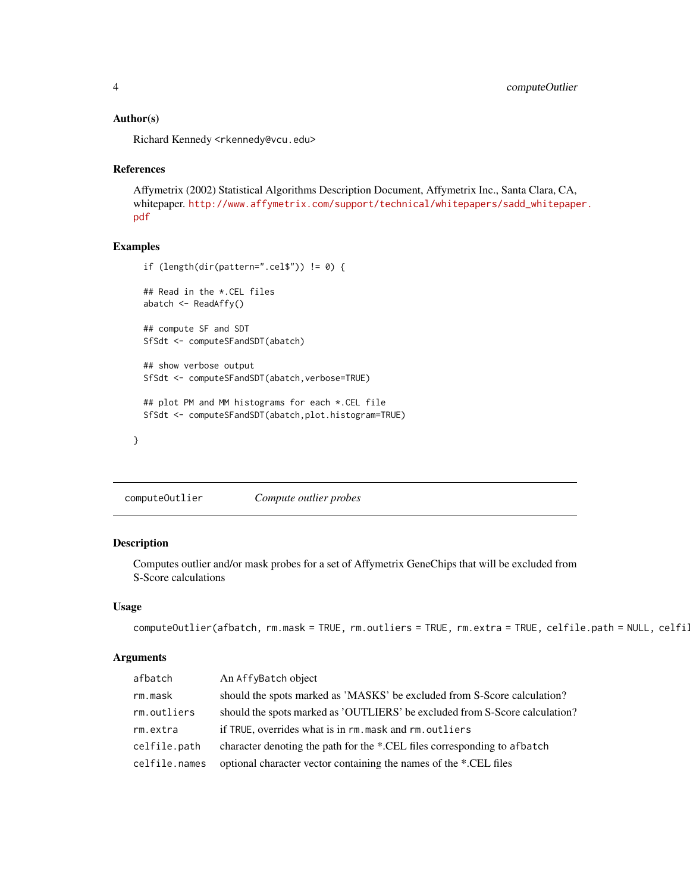#### <span id="page-3-0"></span>Author(s)

Richard Kennedy <rkennedy@vcu.edu>

#### References

Affymetrix (2002) Statistical Algorithms Description Document, Affymetrix Inc., Santa Clara, CA, whitepaper. [http://www.affymetrix.com/support/technical/whitepapers/sadd\\_whitepape](http://www.affymetrix.com/support/technical/whitepapers/sadd_whitepaper.pdf)r. [pdf](http://www.affymetrix.com/support/technical/whitepapers/sadd_whitepaper.pdf)

#### Examples

```
if (length(dir(pattern=".cel$")) != 0) {
 ## Read in the *.CEL files
 abatch <- ReadAffy()
 ## compute SF and SDT
 SfSdt <- computeSFandSDT(abatch)
 ## show verbose output
 SfSdt <- computeSFandSDT(abatch,verbose=TRUE)
 ## plot PM and MM histograms for each *.CEL file
 SfSdt <- computeSFandSDT(abatch,plot.histogram=TRUE)
}
```

```
computeOutlier Compute outlier probes
```
#### Description

Computes outlier and/or mask probes for a set of Affymetrix GeneChips that will be excluded from S-Score calculations

## Usage

```
computeOutputlier(afbatch, rm.mask = TRUE, rm.outliers = TRUE, rm.extra = TRUE, celfile.path = NULL, celfile
```
## Arguments

| afbatch       | An AffyBatch object                                                         |
|---------------|-----------------------------------------------------------------------------|
| rm.mask       | should the spots marked as 'MASKS' be excluded from S-Score calculation?    |
| rm.outliers   | should the spots marked as 'OUTLIERS' be excluded from S-Score calculation? |
| rm.extra      | if TRUE, overrides what is in rm, mask and rm, outliers                     |
| celfile.path  | character denoting the path for the *.CEL files corresponding to afbatch    |
| celfile.names | optional character vector containing the names of the *.CEL files           |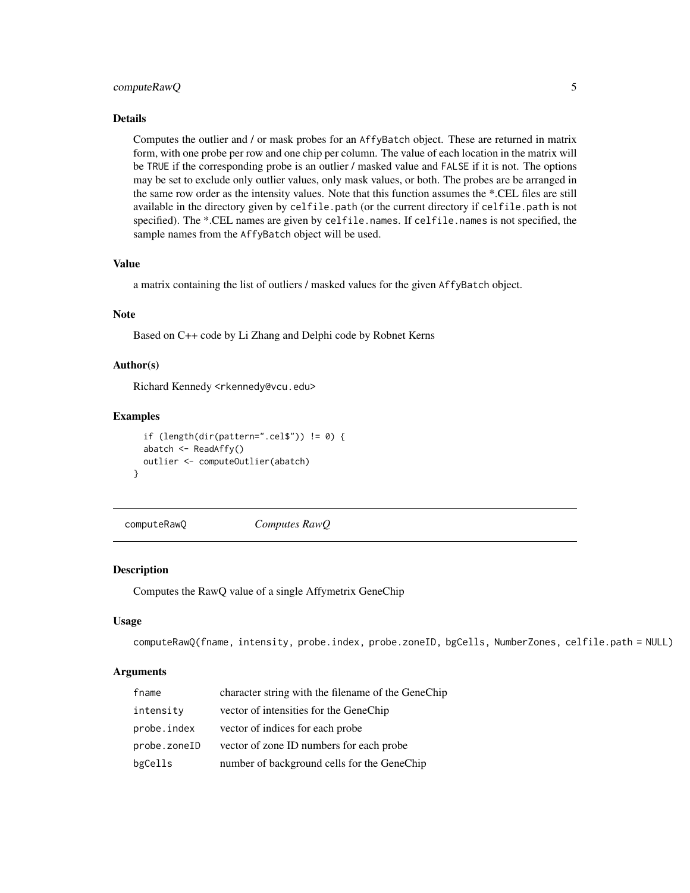## <span id="page-4-0"></span>computeRawQ 5

#### Details

Computes the outlier and / or mask probes for an AffyBatch object. These are returned in matrix form, with one probe per row and one chip per column. The value of each location in the matrix will be TRUE if the corresponding probe is an outlier / masked value and FALSE if it is not. The options may be set to exclude only outlier values, only mask values, or both. The probes are be arranged in the same row order as the intensity values. Note that this function assumes the \*.CEL files are still available in the directory given by celfile.path (or the current directory if celfile.path is not specified). The \*.CEL names are given by celfile.names. If celfile.names is not specified, the sample names from the AffyBatch object will be used.

#### Value

a matrix containing the list of outliers / masked values for the given AffyBatch object.

#### Note

Based on C++ code by Li Zhang and Delphi code by Robnet Kerns

## Author(s)

Richard Kennedy <rkennedy@vcu.edu>

## Examples

```
if (length(dir(pattern=".cel$")) != 0) {
 abatch <- ReadAffy()
 outlier <- computeOutlier(abatch)
}
```
computeRawQ *Computes RawQ*

#### Description

Computes the RawQ value of a single Affymetrix GeneChip

#### Usage

```
computeRawQ(fname, intensity, probe.index, probe.zoneID, bgCells, NumberZones, celfile.path = NULL)
```
#### Arguments

| fname        | character string with the filename of the GeneChip |
|--------------|----------------------------------------------------|
| intensity    | vector of intensities for the GeneChip             |
| probe.index  | vector of indices for each probe                   |
| probe.zoneID | vector of zone ID numbers for each probe           |
| bgCells      | number of background cells for the GeneChip        |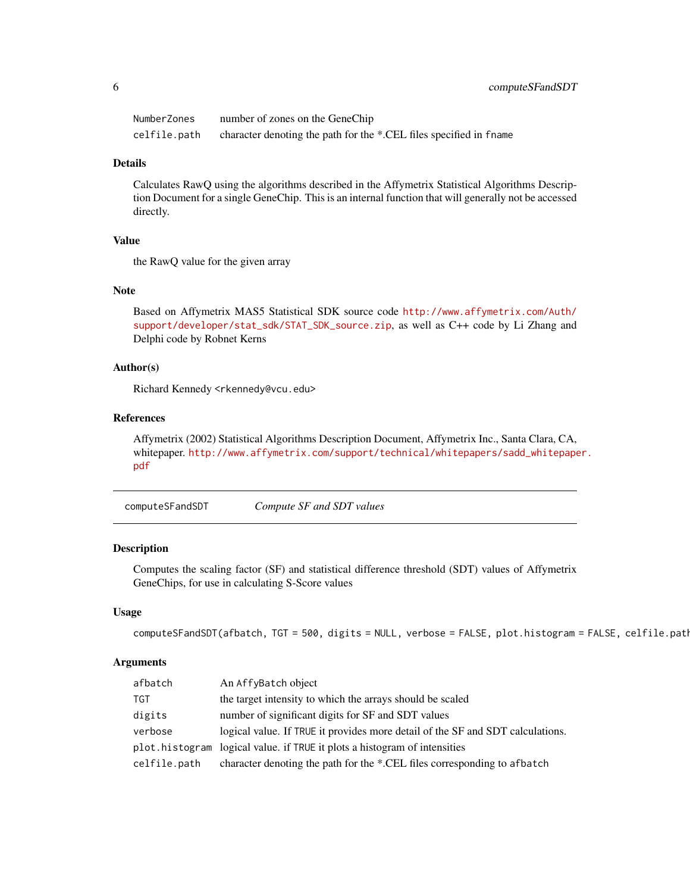<span id="page-5-0"></span>

| NumberZones  | number of zones on the GeneChip                                    |
|--------------|--------------------------------------------------------------------|
| celfile.path | character denoting the path for the *.CEL files specified in fname |

#### Details

Calculates RawQ using the algorithms described in the Affymetrix Statistical Algorithms Description Document for a single GeneChip. This is an internal function that will generally not be accessed directly.

#### Value

the RawQ value for the given array

## Note

Based on Affymetrix MAS5 Statistical SDK source code [http://www.affymetrix.com/Auth/](http://www.affymetrix.com/Auth/support/developer/stat_sdk/STAT_SDK_source.zip) [support/developer/stat\\_sdk/STAT\\_SDK\\_source.zip](http://www.affymetrix.com/Auth/support/developer/stat_sdk/STAT_SDK_source.zip), as well as C++ code by Li Zhang and Delphi code by Robnet Kerns

## Author(s)

Richard Kennedy <rkennedy@vcu.edu>

#### References

Affymetrix (2002) Statistical Algorithms Description Document, Affymetrix Inc., Santa Clara, CA, whitepaper. [http://www.affymetrix.com/support/technical/whitepapers/sadd\\_whitepape](http://www.affymetrix.com/support/technical/whitepapers/sadd_whitepaper.pdf)r. [pdf](http://www.affymetrix.com/support/technical/whitepapers/sadd_whitepaper.pdf)

<span id="page-5-1"></span>computeSFandSDT *Compute SF and SDT values*

## Description

Computes the scaling factor (SF) and statistical difference threshold (SDT) values of Affymetrix GeneChips, for use in calculating S-Score values

#### Usage

```
computeSFandSDT(afbatch, TGT = 500, digits = NULL, verbose = FALSE, plot.histogram = FALSE, celfile.path
```
## **Arguments**

| An AffyBatch object                                                            |
|--------------------------------------------------------------------------------|
| the target intensity to which the arrays should be scaled                      |
| number of significant digits for SF and SDT values                             |
| logical value. If TRUE it provides more detail of the SF and SDT calculations. |
| logical value, if TRUE it plots a histogram of intensities                     |
| character denoting the path for the *.CEL files corresponding to a fbatch      |
|                                                                                |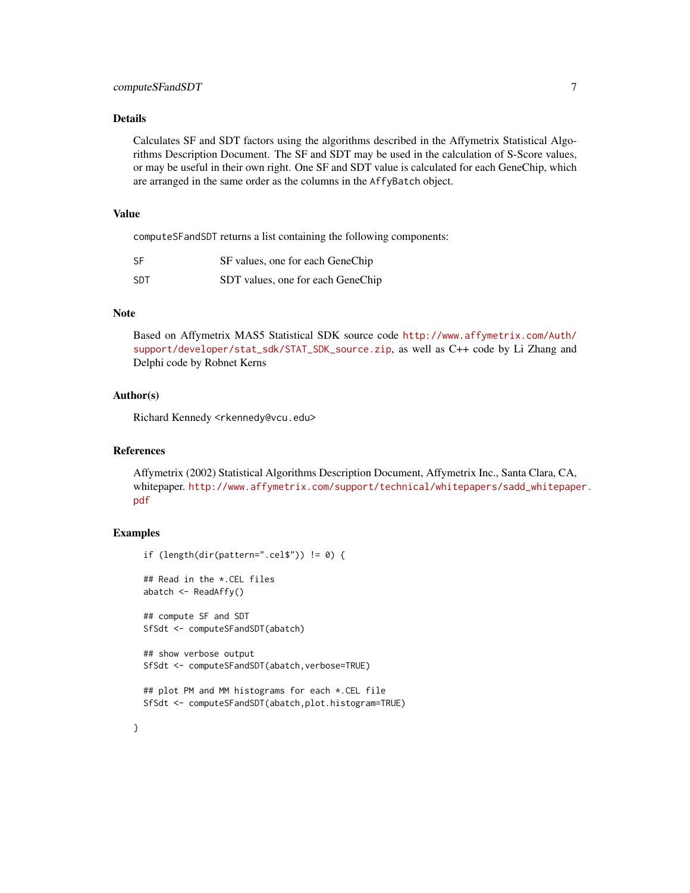### computeSFandSDT 7 7

## Details

Calculates SF and SDT factors using the algorithms described in the Affymetrix Statistical Algorithms Description Document. The SF and SDT may be used in the calculation of S-Score values, or may be useful in their own right. One SF and SDT value is calculated for each GeneChip, which are arranged in the same order as the columns in the AffyBatch object.

#### Value

computeSFandSDT returns a list containing the following components:

| <b>SF</b>  | SF values, one for each GeneChip  |
|------------|-----------------------------------|
| <b>SDT</b> | SDT values, one for each GeneChip |

#### Note

Based on Affymetrix MAS5 Statistical SDK source code [http://www.affymetrix.com/Auth/](http://www.affymetrix.com/Auth/support/developer/stat_sdk/STAT_SDK_source.zip) [support/developer/stat\\_sdk/STAT\\_SDK\\_source.zip](http://www.affymetrix.com/Auth/support/developer/stat_sdk/STAT_SDK_source.zip), as well as C++ code by Li Zhang and Delphi code by Robnet Kerns

#### Author(s)

Richard Kennedy <rkennedy@vcu.edu>

#### References

Affymetrix (2002) Statistical Algorithms Description Document, Affymetrix Inc., Santa Clara, CA, whitepaper. [http://www.affymetrix.com/support/technical/whitepapers/sadd\\_whitepape](http://www.affymetrix.com/support/technical/whitepapers/sadd_whitepaper.pdf)r. [pdf](http://www.affymetrix.com/support/technical/whitepapers/sadd_whitepaper.pdf)

## Examples

```
if (length(dir(pattern=".cel$")) != 0) {
## Read in the *.CEL files
abatch <- ReadAffy()
## compute SF and SDT
SfSdt <- computeSFandSDT(abatch)
## show verbose output
SfSdt <- computeSFandSDT(abatch,verbose=TRUE)
## plot PM and MM histograms for each *.CEL file
SfSdt <- computeSFandSDT(abatch,plot.histogram=TRUE)
```
}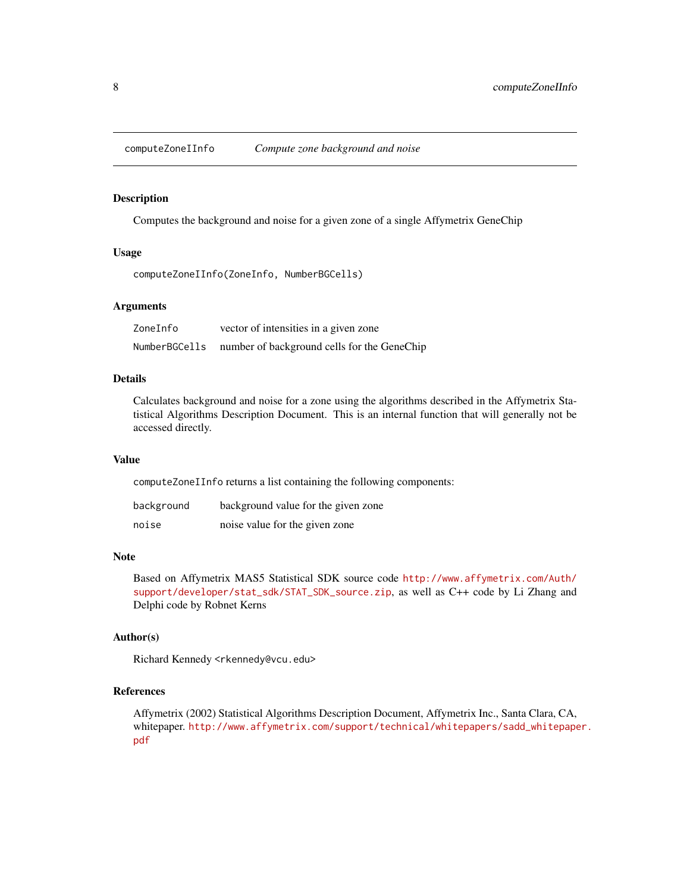<span id="page-7-0"></span>computeZoneIInfo *Compute zone background and noise*

## Description

Computes the background and noise for a given zone of a single Affymetrix GeneChip

#### Usage

```
computeZoneIInfo(ZoneInfo, NumberBGCells)
```
## Arguments

| ZoneInfo      | vector of intensities in a given zone       |
|---------------|---------------------------------------------|
| NumberBGCells | number of background cells for the GeneChip |

## Details

Calculates background and noise for a zone using the algorithms described in the Affymetrix Statistical Algorithms Description Document. This is an internal function that will generally not be accessed directly.

## Value

computeZoneIInfo returns a list containing the following components:

| background | background value for the given zone |
|------------|-------------------------------------|
| noise      | noise value for the given zone      |

#### Note

Based on Affymetrix MAS5 Statistical SDK source code [http://www.affymetrix.com/Auth/](http://www.affymetrix.com/Auth/support/developer/stat_sdk/STAT_SDK_source.zip) [support/developer/stat\\_sdk/STAT\\_SDK\\_source.zip](http://www.affymetrix.com/Auth/support/developer/stat_sdk/STAT_SDK_source.zip), as well as C++ code by Li Zhang and Delphi code by Robnet Kerns

#### Author(s)

Richard Kennedy <rkennedy@vcu.edu>

## References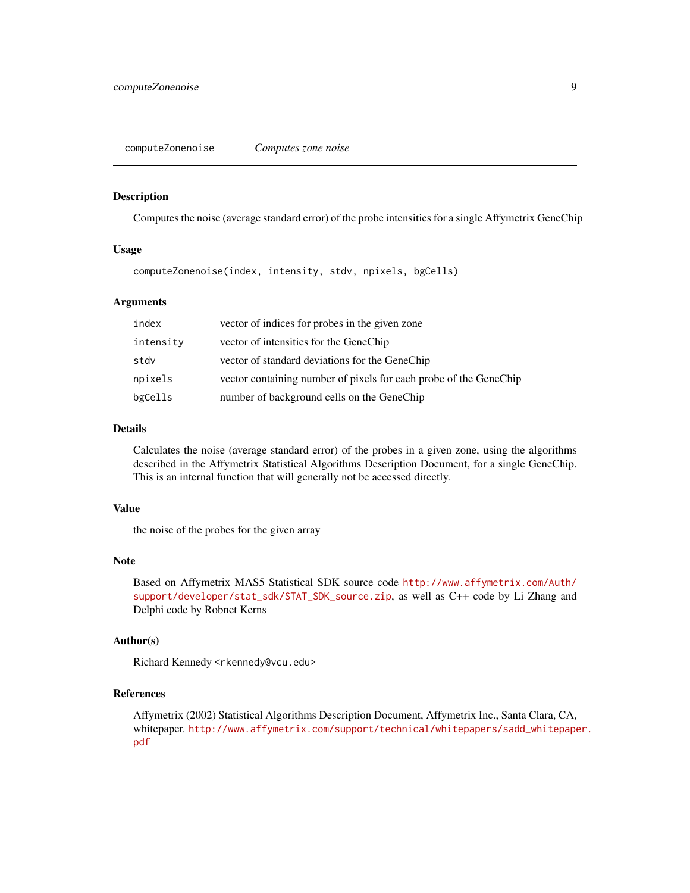#### <span id="page-8-0"></span>Description

Computes the noise (average standard error) of the probe intensities for a single Affymetrix GeneChip

#### Usage

computeZonenoise(index, intensity, stdv, npixels, bgCells)

## Arguments

| index     | vector of indices for probes in the given zone                    |
|-----------|-------------------------------------------------------------------|
| intensity | vector of intensities for the GeneChip                            |
| stdv      | vector of standard deviations for the GeneChip                    |
| npixels   | vector containing number of pixels for each probe of the GeneChip |
| bgCells   | number of background cells on the GeneChip                        |

## Details

Calculates the noise (average standard error) of the probes in a given zone, using the algorithms described in the Affymetrix Statistical Algorithms Description Document, for a single GeneChip. This is an internal function that will generally not be accessed directly.

## Value

the noise of the probes for the given array

#### Note

Based on Affymetrix MAS5 Statistical SDK source code [http://www.affymetrix.com/Auth/](http://www.affymetrix.com/Auth/support/developer/stat_sdk/STAT_SDK_source.zip) [support/developer/stat\\_sdk/STAT\\_SDK\\_source.zip](http://www.affymetrix.com/Auth/support/developer/stat_sdk/STAT_SDK_source.zip), as well as C++ code by Li Zhang and Delphi code by Robnet Kerns

#### Author(s)

Richard Kennedy <rkennedy@vcu.edu>

## References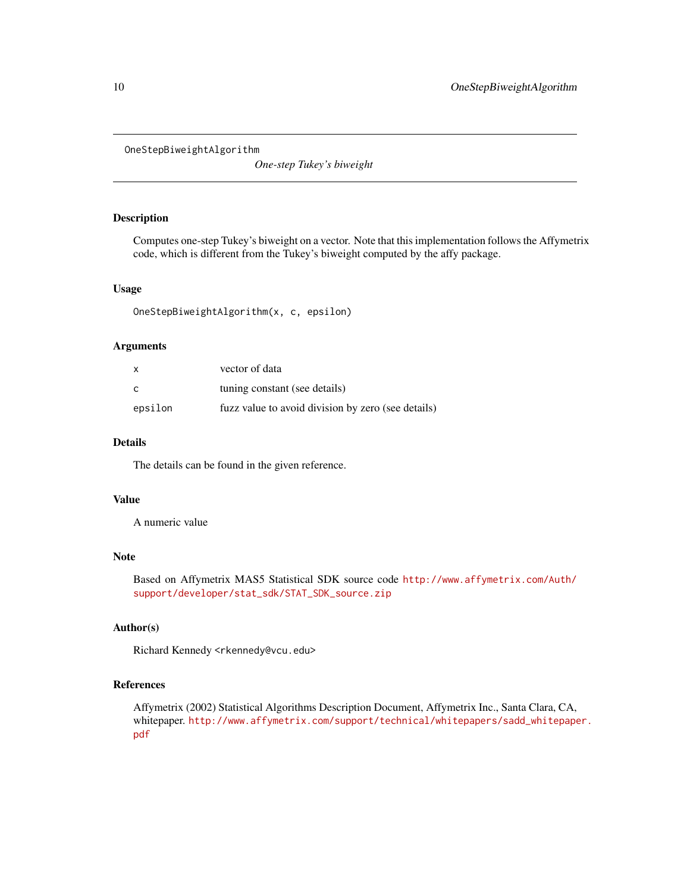<span id="page-9-0"></span>OneStepBiweightAlgorithm

*One-step Tukey's biweight*

## Description

Computes one-step Tukey's biweight on a vector. Note that this implementation follows the Affymetrix code, which is different from the Tukey's biweight computed by the affy package.

#### Usage

OneStepBiweightAlgorithm(x, c, epsilon)

#### Arguments

| $\mathsf{x}$ | vector of data                                     |
|--------------|----------------------------------------------------|
| C            | tuning constant (see details)                      |
| epsilon      | fuzz value to avoid division by zero (see details) |

## Details

The details can be found in the given reference.

#### Value

A numeric value

## Note

Based on Affymetrix MAS5 Statistical SDK source code [http://www.affymetrix.com/Auth/](http://www.affymetrix.com/Auth/support/developer/stat_sdk/STAT_SDK_source.zip) [support/developer/stat\\_sdk/STAT\\_SDK\\_source.zip](http://www.affymetrix.com/Auth/support/developer/stat_sdk/STAT_SDK_source.zip)

## Author(s)

Richard Kennedy <rkennedy@vcu.edu>

## References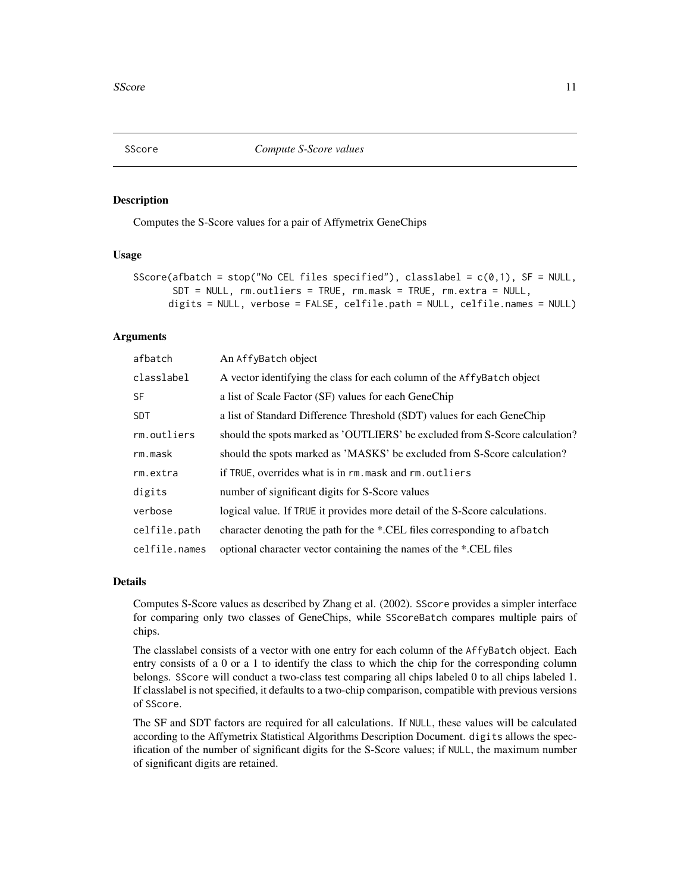<span id="page-10-1"></span><span id="page-10-0"></span>

#### Description

Computes the S-Score values for a pair of Affymetrix GeneChips

#### Usage

```
SScore(afbatch = stop("No CEL files specified"), classlabel = c(0,1), SF = NULL,
       SDT = NULL, rm.outliers = TRUE, rm.mask = TRUE, rm.extra = NULL,
      digits = NULL, verbose = FALSE, celfile.path = NULL, celfile.names = NULL)
```
#### Arguments

| afbatch       | An AffyBatch object                                                         |  |
|---------------|-----------------------------------------------------------------------------|--|
| classlabel    | A vector identifying the class for each column of the AffyBatch object      |  |
| <b>SF</b>     | a list of Scale Factor (SF) values for each GeneChip                        |  |
| <b>SDT</b>    | a list of Standard Difference Threshold (SDT) values for each GeneChip      |  |
| rm.outliers   | should the spots marked as 'OUTLIERS' be excluded from S-Score calculation? |  |
| rm.mask       | should the spots marked as 'MASKS' be excluded from S-Score calculation?    |  |
| rm.extra      | if TRUE, overrides what is in rm. mask and rm. outliers                     |  |
| digits        | number of significant digits for S-Score values                             |  |
| verbose       | logical value. If TRUE it provides more detail of the S-Score calculations. |  |
| celfile.path  | character denoting the path for the *.CEL files corresponding to afbatch    |  |
| celfile.names | optional character vector containing the names of the *.CEL files           |  |

#### Details

Computes S-Score values as described by Zhang et al. (2002). SScore provides a simpler interface for comparing only two classes of GeneChips, while SScoreBatch compares multiple pairs of chips.

The classlabel consists of a vector with one entry for each column of the AffyBatch object. Each entry consists of a 0 or a 1 to identify the class to which the chip for the corresponding column belongs. SScore will conduct a two-class test comparing all chips labeled 0 to all chips labeled 1. If classlabel is not specified, it defaults to a two-chip comparison, compatible with previous versions of SScore.

The SF and SDT factors are required for all calculations. If NULL, these values will be calculated according to the Affymetrix Statistical Algorithms Description Document. digits allows the specification of the number of significant digits for the S-Score values; if NULL, the maximum number of significant digits are retained.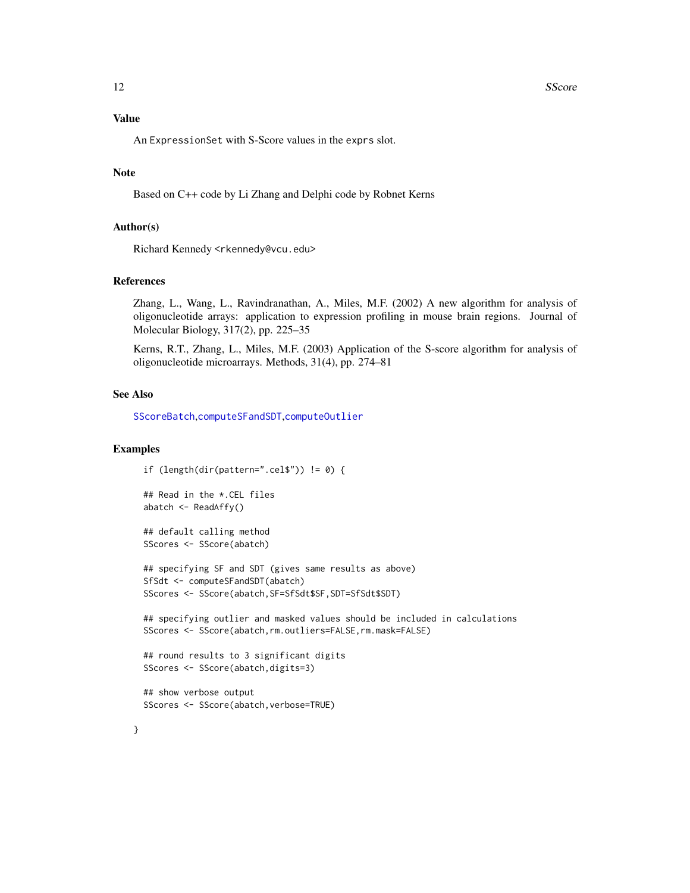## <span id="page-11-0"></span>Value

An ExpressionSet with S-Score values in the exprs slot.

## Note

Based on C++ code by Li Zhang and Delphi code by Robnet Kerns

#### Author(s)

Richard Kennedy <rkennedy@vcu.edu>

#### References

Zhang, L., Wang, L., Ravindranathan, A., Miles, M.F. (2002) A new algorithm for analysis of oligonucleotide arrays: application to expression profiling in mouse brain regions. Journal of Molecular Biology, 317(2), pp. 225–35

Kerns, R.T., Zhang, L., Miles, M.F. (2003) Application of the S-score algorithm for analysis of oligonucleotide microarrays. Methods, 31(4), pp. 274–81

#### See Also

[SScoreBatch](#page-12-1),[computeSFandSDT](#page-5-1),[computeOutlier](#page-3-1)

#### Examples

```
if (length(dir(pattern=".cel$")) != 0) {
```

```
## Read in the *.CEL files
abatch <- ReadAffy()
```

```
## default calling method
SScores <- SScore(abatch)
```

```
## specifying SF and SDT (gives same results as above)
SfSdt <- computeSFandSDT(abatch)
SScores <- SScore(abatch, SF=SfSdt$SF, SDT=SfSdt$SDT)
```
## specifying outlier and masked values should be included in calculations SScores <- SScore(abatch,rm.outliers=FALSE,rm.mask=FALSE)

```
## round results to 3 significant digits
SScores <- SScore(abatch,digits=3)
```

```
## show verbose output
SScores <- SScore(abatch, verbose=TRUE)
```
}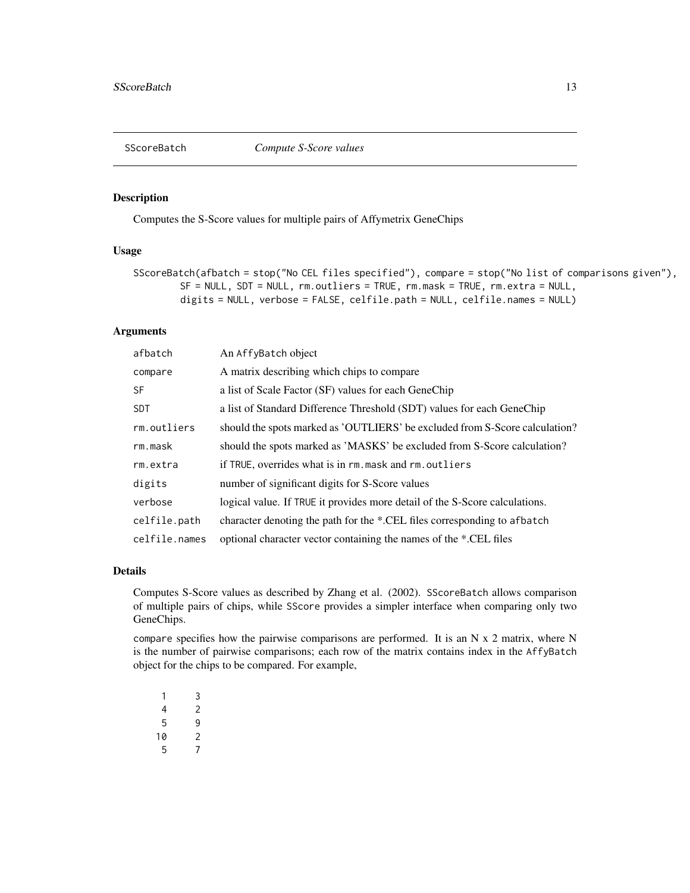<span id="page-12-1"></span><span id="page-12-0"></span>SScoreBatch *Compute S-Score values*

## Description

Computes the S-Score values for multiple pairs of Affymetrix GeneChips

#### Usage

```
SScoreBatch(afbatch = stop("No CEL files specified"), compare = stop("No list of comparisons given"),
        SF = NULL, SDT = NULL, rm.outliers = TRUE, rm.mask = TRUE, rm.extra = NULL,
        digits = NULL, verbose = FALSE, celfile.path = NULL, celfile.names = NULL)
```
## Arguments

| afbatch       | An AffyBatch object                                                         |
|---------------|-----------------------------------------------------------------------------|
| compare       | A matrix describing which chips to compare                                  |
| <b>SF</b>     | a list of Scale Factor (SF) values for each GeneChip                        |
| <b>SDT</b>    | a list of Standard Difference Threshold (SDT) values for each GeneChip      |
| rm.outliers   | should the spots marked as 'OUTLIERS' be excluded from S-Score calculation? |
| rm.mask       | should the spots marked as 'MASKS' be excluded from S-Score calculation?    |
| rm.extra      | if TRUE, overrides what is in rm. mask and rm. outliers                     |
| digits        | number of significant digits for S-Score values                             |
| verbose       | logical value. If TRUE it provides more detail of the S-Score calculations. |
| celfile.path  | character denoting the path for the *.CEL files corresponding to afbatch    |
| celfile.names | optional character vector containing the names of the *.CEL files           |

#### Details

Computes S-Score values as described by Zhang et al. (2002). SScoreBatch allows comparison of multiple pairs of chips, while SScore provides a simpler interface when comparing only two GeneChips.

compare specifies how the pairwise comparisons are performed. It is an N x 2 matrix, where N is the number of pairwise comparisons; each row of the matrix contains index in the AffyBatch object for the chips to be compared. For example,

| 1  | 3 |
|----|---|
| 4  | 2 |
| 5  | 9 |
| 10 | 2 |
| 5  | 7 |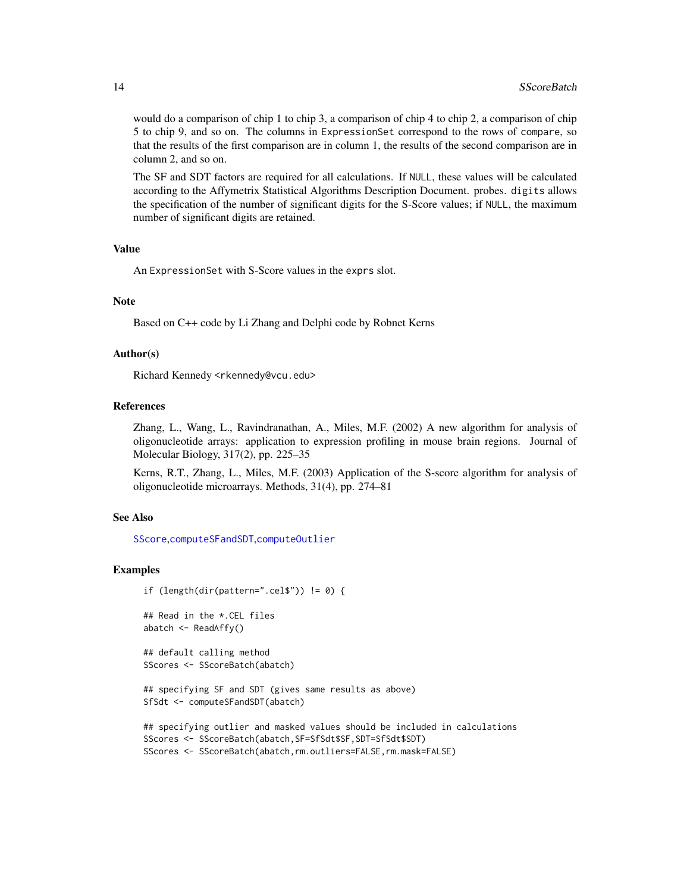would do a comparison of chip 1 to chip 3, a comparison of chip 4 to chip 2, a comparison of chip 5 to chip 9, and so on. The columns in ExpressionSet correspond to the rows of compare, so that the results of the first comparison are in column 1, the results of the second comparison are in column 2, and so on.

The SF and SDT factors are required for all calculations. If NULL, these values will be calculated according to the Affymetrix Statistical Algorithms Description Document. probes. digits allows the specification of the number of significant digits for the S-Score values; if NULL, the maximum number of significant digits are retained.

#### Value

An ExpressionSet with S-Score values in the exprs slot.

#### Note

Based on C++ code by Li Zhang and Delphi code by Robnet Kerns

#### Author(s)

Richard Kennedy <rkennedy@vcu.edu>

## References

Zhang, L., Wang, L., Ravindranathan, A., Miles, M.F. (2002) A new algorithm for analysis of oligonucleotide arrays: application to expression profiling in mouse brain regions. Journal of Molecular Biology, 317(2), pp. 225–35

Kerns, R.T., Zhang, L., Miles, M.F. (2003) Application of the S-score algorithm for analysis of oligonucleotide microarrays. Methods, 31(4), pp. 274–81

#### See Also

[SScore](#page-10-1),[computeSFandSDT](#page-5-1),[computeOutlier](#page-3-1)

#### Examples

```
if (length(dir(pattern=".cel$")) != 0) {
```

```
## Read in the *.CEL files
abatch <- ReadAffy()
```
## default calling method SScores <- SScoreBatch(abatch)

```
## specifying SF and SDT (gives same results as above)
SfSdt <- computeSFandSDT(abatch)
```

```
## specifying outlier and masked values should be included in calculations
SScores <- SScoreBatch(abatch,SF=SfSdt$SF,SDT=SfSdt$SDT)
SScores <- SScoreBatch(abatch,rm.outliers=FALSE,rm.mask=FALSE)
```
<span id="page-13-0"></span>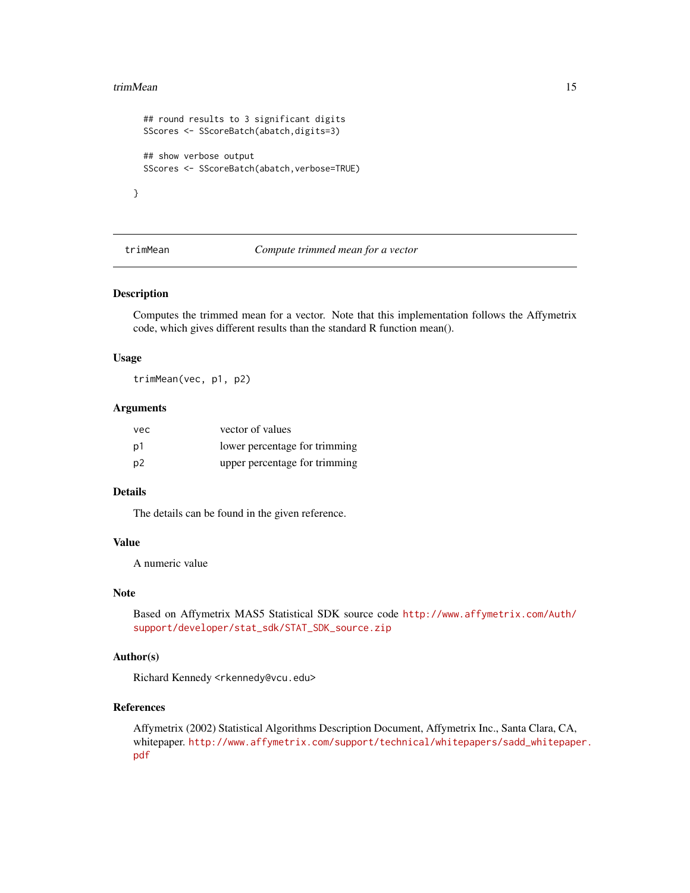#### <span id="page-14-0"></span>trimMean 15

```
## round results to 3 significant digits
SScores <- SScoreBatch(abatch,digits=3)
## show verbose output
SScores <- SScoreBatch(abatch, verbose=TRUE)
```
}

trimMean *Compute trimmed mean for a vector*

#### Description

Computes the trimmed mean for a vector. Note that this implementation follows the Affymetrix code, which gives different results than the standard R function mean().

#### Usage

trimMean(vec, p1, p2)

## Arguments

| vec | vector of values              |
|-----|-------------------------------|
| p1  | lower percentage for trimming |
| p2  | upper percentage for trimming |

## Details

The details can be found in the given reference.

## Value

A numeric value

#### Note

Based on Affymetrix MAS5 Statistical SDK source code [http://www.affymetrix.com/Auth/](http://www.affymetrix.com/Auth/support/developer/stat_sdk/STAT_SDK_source.zip) [support/developer/stat\\_sdk/STAT\\_SDK\\_source.zip](http://www.affymetrix.com/Auth/support/developer/stat_sdk/STAT_SDK_source.zip)

### Author(s)

Richard Kennedy <rkennedy@vcu.edu>

#### References